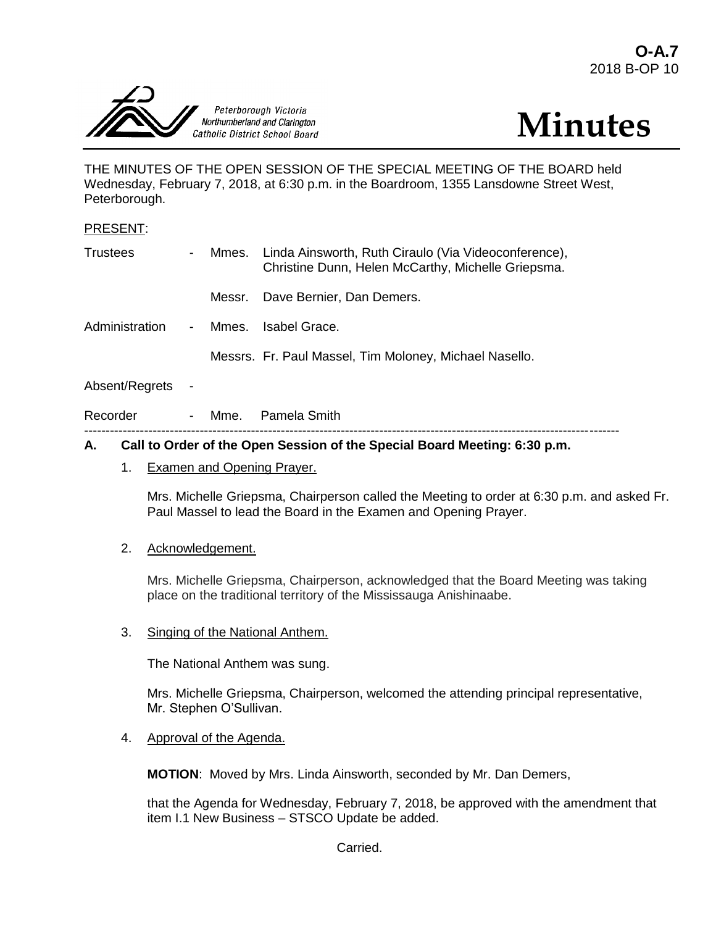



THE MINUTES OF THE OPEN SESSION OF THE SPECIAL MEETING OF THE BOARD held Wednesday, February 7, 2018, at 6:30 p.m. in the Boardroom, 1355 Lansdowne Street West, Peterborough.

#### PRESENT:

| <b>Trustees</b> | $\sim$ $-$     |        | Mmes. Linda Ainsworth, Ruth Ciraulo (Via Videoconference),<br>Christine Dunn, Helen McCarthy, Michelle Griepsma. |
|-----------------|----------------|--------|------------------------------------------------------------------------------------------------------------------|
|                 |                | Messr. | Dave Bernier, Dan Demers.                                                                                        |
| Administration  | $\sim 100$     | Mmes.  | Isabel Grace.                                                                                                    |
|                 |                |        | Messrs. Fr. Paul Massel, Tim Moloney, Michael Nasello.                                                           |
| Absent/Regrets  | $\blacksquare$ |        |                                                                                                                  |

| Recorder |  | Mme. | Pamela Smith                                                                                                                                                                                                                                                             |
|----------|--|------|--------------------------------------------------------------------------------------------------------------------------------------------------------------------------------------------------------------------------------------------------------------------------|
|          |  |      |                                                                                                                                                                                                                                                                          |
|          |  |      | $\mathbf{A}$ . If $\mathbf{A}$ is a set of $\mathbf{A}$ is a set of $\mathbf{A}$ is a set of $\mathbf{A}$ is a set of $\mathbf{A}$ is a set of $\mathbf{A}$ is a set of $\mathbf{A}$ is a set of $\mathbf{A}$ is a set of $\mathbf{A}$ is a set of $\mathbf{A}$ is a set |

### **A. Call to Order of the Open Session of the Special Board Meeting: 6:30 p.m.**

1. Examen and Opening Prayer.

Mrs. Michelle Griepsma, Chairperson called the Meeting to order at 6:30 p.m. and asked Fr. Paul Massel to lead the Board in the Examen and Opening Prayer.

## 2. Acknowledgement.

Mrs. Michelle Griepsma, Chairperson, acknowledged that the Board Meeting was taking place on the traditional territory of the Mississauga Anishinaabe.

3. Singing of the National Anthem.

The National Anthem was sung.

Mrs. Michelle Griepsma, Chairperson, welcomed the attending principal representative, Mr. Stephen O'Sullivan.

4. Approval of the Agenda.

**MOTION**: Moved by Mrs. Linda Ainsworth, seconded by Mr. Dan Demers,

that the Agenda for Wednesday, February 7, 2018, be approved with the amendment that item I.1 New Business – STSCO Update be added.

Carried.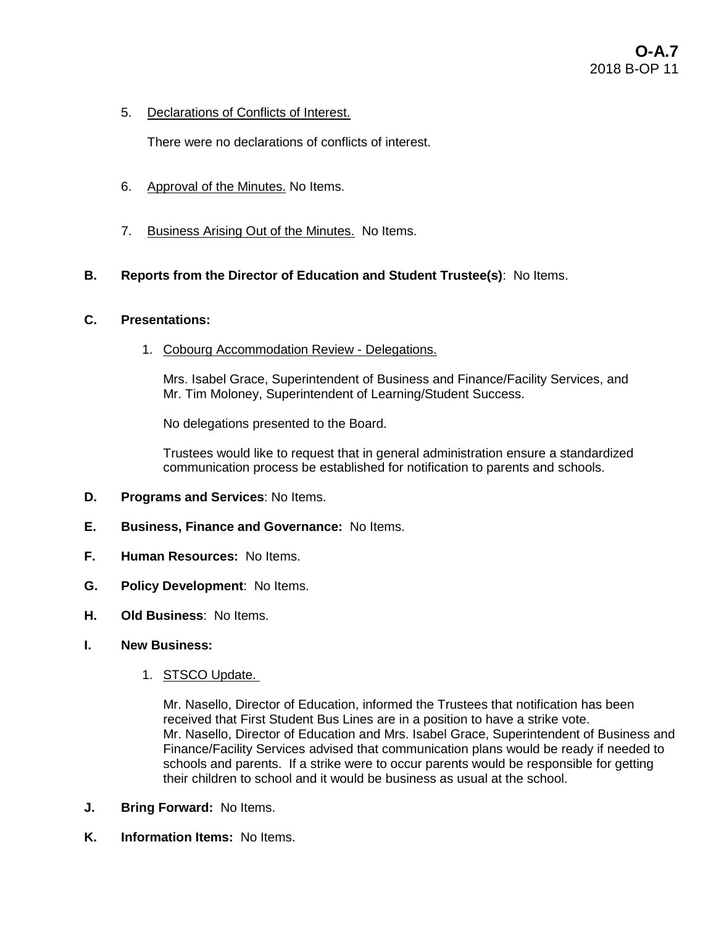5. Declarations of Conflicts of Interest.

There were no declarations of conflicts of interest.

- 6. Approval of the Minutes. No Items.
- 7. Business Arising Out of the Minutes. No Items.

## **B. Reports from the Director of Education and Student Trustee(s)**: No Items.

### **C. Presentations:**

1. Cobourg Accommodation Review - Delegations.

Mrs. Isabel Grace, Superintendent of Business and Finance/Facility Services, and Mr. Tim Moloney, Superintendent of Learning/Student Success.

No delegations presented to the Board.

Trustees would like to request that in general administration ensure a standardized communication process be established for notification to parents and schools.

- **D. Programs and Services**: No Items.
- **E. Business, Finance and Governance:** No Items.
- **F. Human Resources:** No Items.
- **G. Policy Development**: No Items.
- **H. Old Business**: No Items.
- **I. New Business:** 
	- 1. STSCO Update.

Mr. Nasello, Director of Education, informed the Trustees that notification has been received that First Student Bus Lines are in a position to have a strike vote. Mr. Nasello, Director of Education and Mrs. Isabel Grace, Superintendent of Business and Finance/Facility Services advised that communication plans would be ready if needed to schools and parents. If a strike were to occur parents would be responsible for getting their children to school and it would be business as usual at the school.

- **J. Bring Forward:** No Items.
- **K. Information Items:** No Items.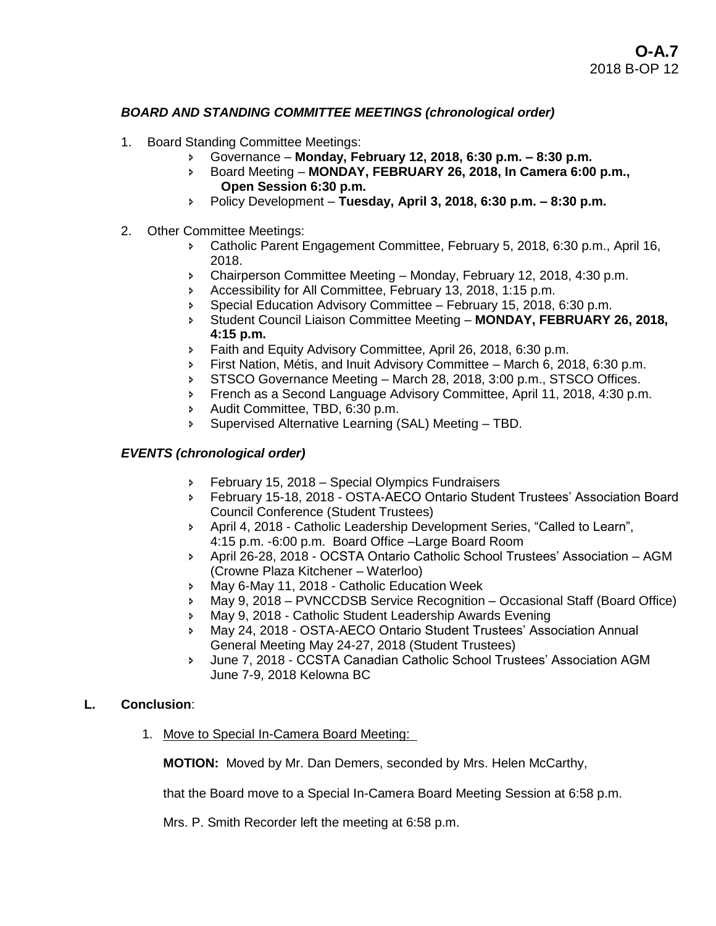## *BOARD AND STANDING COMMITTEE MEETINGS (chronological order)*

- 1. Board Standing Committee Meetings:
	- Governance **Monday, February 12, 2018, 6:30 p.m. – 8:30 p.m.**
	- Board Meeting **MONDAY, FEBRUARY 26, 2018, In Camera 6:00 p.m., Open Session 6:30 p.m.**
	- Policy Development **Tuesday, April 3, 2018, 6:30 p.m. – 8:30 p.m.**
- 2. Other Committee Meetings:
	- Catholic Parent Engagement Committee, February 5, 2018, 6:30 p.m., April 16, 2018.
	- Chairperson Committee Meeting Monday, February 12, 2018, 4:30 p.m.
	- Accessibility for All Committee, February 13, 2018, 1:15 p.m.
	- Special Education Advisory Committee February 15, 2018, 6:30 p.m.
	- Student Council Liaison Committee Meeting **MONDAY, FEBRUARY 26, 2018, 4:15 p.m.**
	- Faith and Equity Advisory Committee, April 26, 2018, 6:30 p.m.
	- First Nation, Métis, and Inuit Advisory Committee March 6, 2018, 6:30 p.m.
	- STSCO Governance Meeting March 28, 2018, 3:00 p.m., STSCO Offices.
	- **French as a Second Language Advisory Committee, April 11, 2018, 4:30 p.m.**
	- Audit Committee, TBD, 6:30 p.m.
	- Supervised Alternative Learning (SAL) Meeting TBD.

### *EVENTS (chronological order)*

- **February 15, 2018 Special Olympics Fundraisers**
- February 15-18, 2018 OSTA-AECO Ontario Student Trustees' Association Board Council Conference (Student Trustees)
- April 4, 2018 Catholic Leadership Development Series, "Called to Learn", 4:15 p.m. -6:00 p.m. Board Office –Large Board Room
- April 26-28, 2018 OCSTA Ontario Catholic School Trustees' Association AGM (Crowne Plaza Kitchener – Waterloo)
- **May 6-May 11, 2018 Catholic Education Week**
- May 9, 2018 PVNCCDSB Service Recognition Occasional Staff (Board Office)
- May 9, 2018 Catholic Student Leadership Awards Evening
- May 24, 2018 OSTA-AECO Ontario Student Trustees' Association Annual General Meeting May 24-27, 2018 (Student Trustees)
- June 7, 2018 CCSTA Canadian Catholic School Trustees' Association AGM June 7-9, 2018 Kelowna BC

#### **L. Conclusion**:

1. Move to Special In-Camera Board Meeting:

**MOTION:** Moved by Mr. Dan Demers, seconded by Mrs. Helen McCarthy,

that the Board move to a Special In-Camera Board Meeting Session at 6:58 p.m.

Mrs. P. Smith Recorder left the meeting at 6:58 p.m.